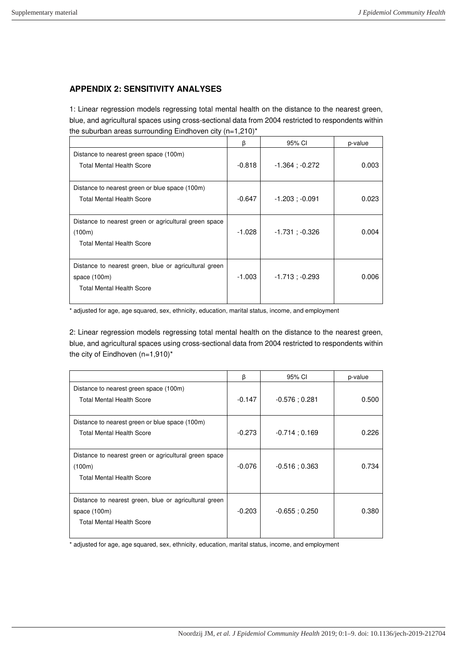## **APPENDIX 2: SENSITIVITY ANALYSES**

1: Linear regression models regressing total mental health on the distance to the nearest green, blue, and agricultural spaces using cross-sectional data from 2004 restricted to respondents within the suburban areas surrounding Eindhoven city (n=1,210)\*

|                                                                                                           | β        | 95% CI              | p-value |
|-----------------------------------------------------------------------------------------------------------|----------|---------------------|---------|
| Distance to nearest green space (100m)<br><b>Total Mental Health Score</b>                                | $-0.818$ | $-1.364$ ; $-0.272$ | 0.003   |
| Distance to nearest green or blue space (100m)<br><b>Total Mental Health Score</b>                        | $-0.647$ | $-1.203$ ; $-0.091$ | 0.023   |
| Distance to nearest green or agricultural green space<br>(100m)<br><b>Total Mental Health Score</b>       | -1.028   | $-1.731 : -0.326$   | 0.004   |
| Distance to nearest green, blue or agricultural green<br>space (100m)<br><b>Total Mental Health Score</b> | -1.003   | $-1.713$ ; $-0.293$ | 0.006   |

\* adjusted for age, age squared, sex, ethnicity, education, marital status, income, and employment

2: Linear regression models regressing total mental health on the distance to the nearest green, blue, and agricultural spaces using cross-sectional data from 2004 restricted to respondents within the city of Eindhoven (n=1,910)\*

|                                                                                                           | β        | 95% CI           | p-value |
|-----------------------------------------------------------------------------------------------------------|----------|------------------|---------|
| Distance to nearest green space (100m)<br><b>Total Mental Health Score</b>                                | $-0.147$ | $-0.576$ ; 0.281 | 0.500   |
| Distance to nearest green or blue space (100m)<br><b>Total Mental Health Score</b>                        | $-0.273$ | $-0.714;0.169$   | 0.226   |
| Distance to nearest green or agricultural green space<br>(100m)<br><b>Total Mental Health Score</b>       | $-0.076$ | $-0.516:0.363$   | 0.734   |
| Distance to nearest green, blue or agricultural green<br>space (100m)<br><b>Total Mental Health Score</b> | $-0.203$ | $-0.655:0.250$   | 0.380   |

\* adjusted for age, age squared, sex, ethnicity, education, marital status, income, and employment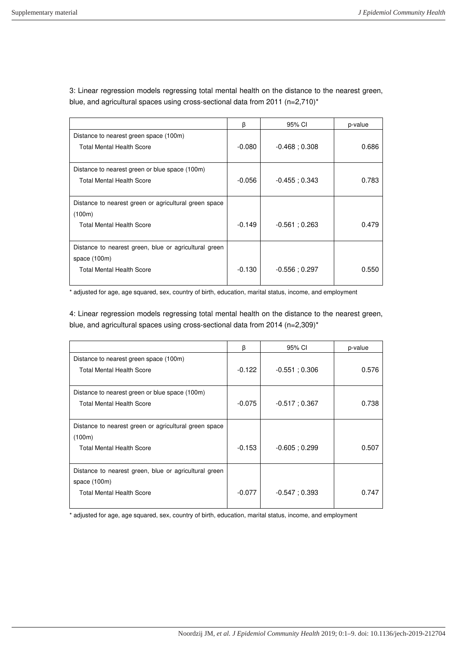3: Linear regression models regressing total mental health on the distance to the nearest green, blue, and agricultural spaces using cross-sectional data from 2011 (n=2,710)<sup>\*</sup>

|                                                                                                             | β        | 95% CI           | p-value |
|-------------------------------------------------------------------------------------------------------------|----------|------------------|---------|
| Distance to nearest green space (100m)<br><b>Total Mental Health Score</b>                                  | $-0.080$ | $-0.468:0.308$   | 0.686   |
| Distance to nearest green or blue space (100m)<br><b>Total Mental Health Score</b>                          | $-0.056$ | $-0.455:0.343$   | 0.783   |
| Distance to nearest green or agricultural green space<br>(100m)                                             |          |                  |         |
| <b>Total Mental Health Score</b>                                                                            | $-0.149$ | $-0.561; 0.263$  | 0.479   |
| Distance to nearest green, blue or agricultural green<br>space $(100m)$<br><b>Total Mental Health Score</b> | $-0.130$ | $-0.556$ ; 0.297 | 0.550   |

\* adjusted for age, age squared, sex, country of birth, education, marital status, income, and employment

4: Linear regression models regressing total mental health on the distance to the nearest green, blue, and agricultural spaces using cross-sectional data from 2014 (n=2,309)\*

|                                                                                                             | β        | 95% CI         | p-value |
|-------------------------------------------------------------------------------------------------------------|----------|----------------|---------|
| Distance to nearest green space (100m)<br><b>Total Mental Health Score</b>                                  | $-0.122$ | $-0.551:0.306$ | 0.576   |
| Distance to nearest green or blue space (100m)<br><b>Total Mental Health Score</b>                          | $-0.075$ | $-0.517:0.367$ | 0.738   |
| Distance to nearest green or agricultural green space<br>(100m)<br><b>Total Mental Health Score</b>         | $-0.153$ | $-0.605:0.299$ | 0.507   |
| Distance to nearest green, blue or agricultural green<br>space $(100m)$<br><b>Total Mental Health Score</b> | $-0.077$ | $-0.547:0.393$ | 0.747   |

\* adjusted for age, age squared, sex, country of birth, education, marital status, income, and employment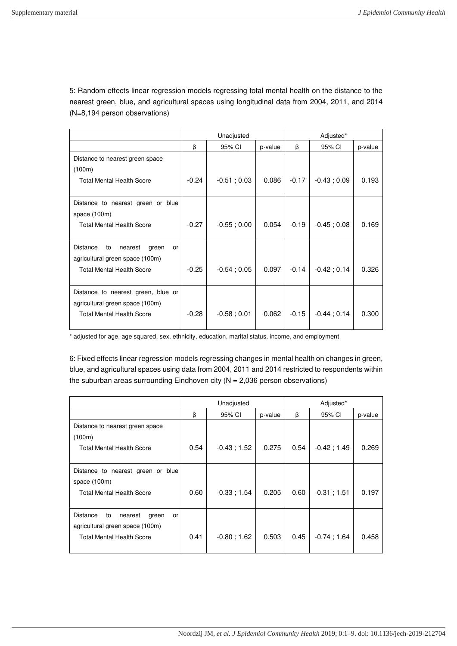5: Random effects linear regression models regressing total mental health on the distance to the nearest green, blue, and agricultural spaces using longitudinal data from 2004, 2011, and 2014 (N=8,194 person observations)

|                                                 | Unadjusted |                |         | Adjusted* |                |         |
|-------------------------------------------------|------------|----------------|---------|-----------|----------------|---------|
|                                                 | β          | 95% CI         | p-value | β         | 95% CI         | p-value |
| Distance to nearest green space                 |            |                |         |           |                |         |
| (100m)                                          |            |                |         |           |                |         |
| <b>Total Mental Health Score</b>                | $-0.24$    | $-0.51; 0.03$  | 0.086   | $-0.17$   | $-0.43;0.09$   | 0.193   |
|                                                 |            |                |         |           |                |         |
| Distance to nearest green or blue               |            |                |         |           |                |         |
| space (100m)                                    |            |                |         |           |                |         |
| <b>Total Mental Health Score</b>                | $-0.27$    | $-0.55$ ; 0.00 | 0.054   | $-0.19$   | $-0.45$ ; 0.08 | 0.169   |
|                                                 |            |                |         |           |                |         |
| <b>Distance</b><br>to<br>nearest<br>green<br>or |            |                |         |           |                |         |
| agricultural green space (100m)                 |            |                |         |           |                |         |
| <b>Total Mental Health Score</b>                | $-0.25$    | $-0.54; 0.05$  | 0.097   | $-0.14$   | $-0.42; 0.14$  | 0.326   |
|                                                 |            |                |         |           |                |         |
| Distance to nearest green, blue or              |            |                |         |           |                |         |
| agricultural green space (100m)                 |            |                |         |           |                |         |
| <b>Total Mental Health Score</b>                | $-0.28$    | $-0.58; 0.01$  | 0.062   | $-0.15$   | $-0.44:0.14$   | 0.300   |
|                                                 |            |                |         |           |                |         |

\* adjusted for age, age squared, sex, ethnicity, education, marital status, income, and employment

6: Fixed effects linear regression models regressing changes in mental health on changes in green, blue, and agricultural spaces using data from 2004, 2011 and 2014 restricted to respondents within the suburban areas surrounding Eindhoven city ( $N = 2,036$  person observations)

|                                          | Unadjusted |                |         | Adjusted* |               |         |
|------------------------------------------|------------|----------------|---------|-----------|---------------|---------|
|                                          | β          | 95% CI         | p-value | β         | 95% CI        | p-value |
| Distance to nearest green space          |            |                |         |           |               |         |
| (100m)                                   |            |                |         |           |               |         |
| <b>Total Mental Health Score</b>         | 0.54       | $-0.43; 1.52$  | 0.275   | 0.54      | $-0.42; 1.49$ | 0.269   |
|                                          |            |                |         |           |               |         |
| Distance to nearest green or blue        |            |                |         |           |               |         |
| space $(100m)$                           |            |                |         |           |               |         |
| <b>Total Mental Health Score</b>         | 0.60       | $-0.33; 1.54$  | 0.205   | 0.60      | $-0.31; 1.51$ | 0.197   |
|                                          |            |                |         |           |               |         |
| Distance<br>to<br>nearest<br>green<br>or |            |                |         |           |               |         |
| agricultural green space (100m)          |            |                |         |           |               |         |
| <b>Total Mental Health Score</b>         | 0.41       | $-0.80$ ; 1.62 | 0.503   | 0.45      | $-0.74:1.64$  | 0.458   |
|                                          |            |                |         |           |               |         |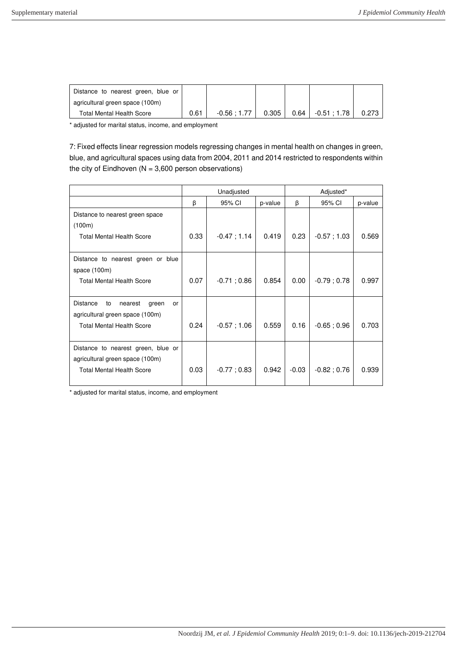| Distance to nearest green, blue or |      |              |       |                       |       |
|------------------------------------|------|--------------|-------|-----------------------|-------|
| agricultural green space (100m)    |      |              |       |                       |       |
| Total Mental Health Score          | 0.61 | $-0.56:1.77$ | 0.305 | $0.64$ $-0.51$ : 1.78 | 0.273 |

\* adjusted for marital status, income, and employment

7: Fixed effects linear regression models regressing changes in mental health on changes in green, blue, and agricultural spaces using data from 2004, 2011 and 2014 restricted to respondents within the city of Eindhoven ( $N = 3,600$  person observations)

|                                                                                                           | Unadjusted |               |         | Adjusted* |               |         |
|-----------------------------------------------------------------------------------------------------------|------------|---------------|---------|-----------|---------------|---------|
|                                                                                                           | β          | 95% CI        | p-value | β         | 95% CI        | p-value |
| Distance to nearest green space<br>(100m)                                                                 |            |               |         |           |               |         |
| <b>Total Mental Health Score</b>                                                                          | 0.33       | $-0.47; 1.14$ | 0.419   | 0.23      | $-0.57; 1.03$ | 0.569   |
| Distance to nearest green or blue<br>space (100m)                                                         |            |               |         |           |               |         |
| <b>Total Mental Health Score</b>                                                                          | 0.07       | $-0.71;0.86$  | 0.854   | 0.00      | $-0.79; 0.78$ | 0.997   |
| <b>Distance</b><br>to<br>nearest<br>green<br>or<br>agricultural green space (100m)                        |            |               |         |           |               |         |
| <b>Total Mental Health Score</b>                                                                          | 0.24       | $-0.57; 1.06$ | 0.559   | 0.16      | $-0.65; 0.96$ | 0.703   |
| Distance to nearest green, blue or<br>agricultural green space (100m)<br><b>Total Mental Health Score</b> | 0.03       | $-0.77;0.83$  | 0.942   | $-0.03$   | $-0.82; 0.76$ | 0.939   |

\* adjusted for marital status, income, and employment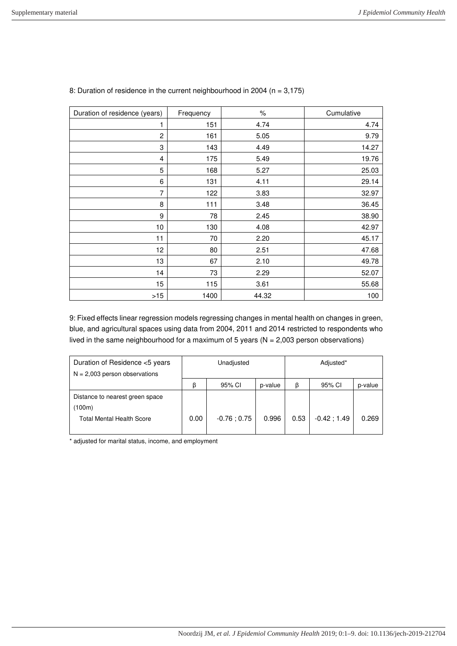| Duration of residence (years) | Frequency | $\%$  | Cumulative |
|-------------------------------|-----------|-------|------------|
|                               | 151       | 4.74  | 4.74       |
| $\overline{c}$                | 161       | 5.05  | 9.79       |
| 3                             | 143       | 4.49  | 14.27      |
| 4                             | 175       | 5.49  | 19.76      |
| 5                             | 168       | 5.27  | 25.03      |
| 6                             | 131       | 4.11  | 29.14      |
| 7                             | 122       | 3.83  | 32.97      |
| 8                             | 111       | 3.48  | 36.45      |
| 9                             | 78        | 2.45  | 38.90      |
| 10                            | 130       | 4.08  | 42.97      |
| 11                            | 70        | 2.20  | 45.17      |
| 12                            | 80        | 2.51  | 47.68      |
| 13                            | 67        | 2.10  | 49.78      |
| 14                            | 73        | 2.29  | 52.07      |
| 15                            | 115       | 3.61  | 55.68      |
| $>15$                         | 1400      | 44.32 | 100        |

## 8: Duration of residence in the current neighbourhood in 2004 (n = 3,175)

9: Fixed effects linear regression models regressing changes in mental health on changes in green, blue, and agricultural spaces using data from 2004, 2011 and 2014 restricted to respondents who lived in the same neighbourhood for a maximum of 5 years ( $N = 2,003$  person observations)

| Duration of Residence <5 years<br>$N = 2,003$ person observations             | Unadjusted |              |         | Adjusted* |               |         |
|-------------------------------------------------------------------------------|------------|--------------|---------|-----------|---------------|---------|
|                                                                               | ß          | 95% CI       | p-value | β         | 95% CI        | p-value |
| Distance to nearest green space<br>(100m)<br><b>Total Mental Health Score</b> | 0.00       | $-0.76:0.75$ | 0.996   | 0.53      | $-0.42; 1.49$ | 0.269   |

\* adjusted for marital status, income, and employment